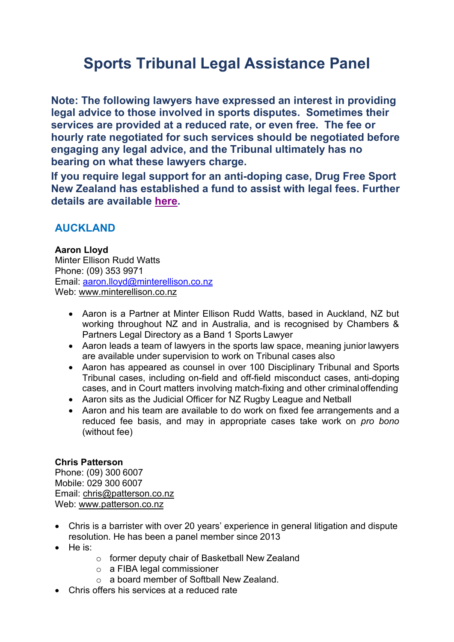# **Sports Tribunal Legal Assistance Panel**

**Note: The following lawyers have expressed an interest in providing legal advice to those involved in sports disputes. Sometimes their services are provided at a reduced rate, or even free. The fee or hourly rate negotiated for such services should be negotiated before engaging any legal advice, and the Tribunal ultimately has no bearing on what these lawyers charge.**

**If you require legal support for an anti-doping case, Drug Free Sport New Zealand has established a fund to assist with legal fees. Further details are available [here.](https://drugfreesport.org.nz/rules-and-rights/legal-support-fund/)**

# **AUCKLAND**

#### **Aaron Lloyd**

Minter Ellison Rudd Watts Phone: (09) 353 9971 Email: [aaron.lloyd@minterellison.co.nz](mailto:aaron.lloyd@minterellison.co.nz) Web: [www.minterellison.co.nz](http://www.minterellison.co.nz/)

- Aaron is a Partner at Minter Ellison Rudd Watts, based in Auckland, NZ but working throughout NZ and in Australia, and is recognised by Chambers & Partners Legal Directory as a Band 1 Sports Lawyer
- Aaron leads a team of lawyers in the sports law space, meaning junior lawyers are available under supervision to work on Tribunal cases also
- Aaron has appeared as counsel in over 100 Disciplinary Tribunal and Sports Tribunal cases, including on-field and off-field misconduct cases, anti-doping cases, and in Court matters involving match-fixing and other criminaloffending
- Aaron sits as the Judicial Officer for NZ Rugby League and Netball
- Aaron and his team are available to do work on fixed fee arrangements and a reduced fee basis, and may in appropriate cases take work on *pro bono*  (without fee)

#### **Chris Patterson**

Phone: (09) 300 6007 Mobile: 029 300 6007 Email: [chris@patterson.co.nz](mailto:chris@patterson.co.nz) Web: [www.patterson.co.nz](http://www.patterson.co.nz/)

- Chris is a barrister with over 20 years' experience in general litigation and dispute resolution. He has been a panel member since 2013
- He is:
- o former deputy chair of Basketball New Zealand
- o a FIBA legal commissioner
- o a board member of Softball New Zealand.
- Chris offers his services at a reduced rate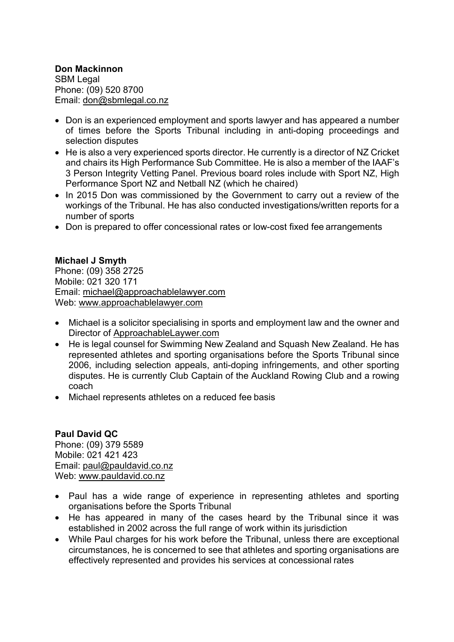#### **Don Mackinnon**

SBM Legal Phone: (09) 520 8700 Email: [don@sbmlegal.co.nz](mailto:don@sbmlegal.co.nz)

- Don is an experienced employment and sports lawyer and has appeared a number of times before the Sports Tribunal including in anti-doping proceedings and selection disputes
- He is also a very experienced sports director. He currently is a director of NZ Cricket and chairs its High Performance Sub Committee. He is also a member of the IAAF's 3 Person Integrity Vetting Panel. Previous board roles include with Sport NZ, High Performance Sport NZ and Netball NZ (which he chaired)
- In 2015 Don was commissioned by the Government to carry out a review of the workings of the Tribunal. He has also conducted investigations/written reports for a number of sports
- Don is prepared to offer concessional rates or low-cost fixed fee arrangements

#### **Michael J Smyth**

Phone: (09) 358 2725 Mobile: 021 320 171 Email: [michael@approachablelawyer.com](mailto:michael@approachablelawyer.com) Web: [www.approachablelawyer.com](http://www.approachablelawyer.com/)

- Michael is a solicitor specialising in sports and employment law and the owner and Director of ApproachableLaywer.com
- He is legal counsel for Swimming New Zealand and Squash New Zealand. He has represented athletes and sporting organisations before the Sports Tribunal since 2006, including selection appeals, anti-doping infringements, and other sporting disputes. He is currently Club Captain of the Auckland Rowing Club and a rowing coach
- Michael represents athletes on a reduced fee basis

#### **Paul David QC**

Phone: (09) 379 5589 Mobile: 021 421 423 Email: [paul@pauldavid.co.nz](mailto:paul@pauldavid.co.nz) Web: [www.pauldavid.co.nz](http://www.pauldavid.co.nz/)

- Paul has a wide range of experience in representing athletes and sporting organisations before the Sports Tribunal
- He has appeared in many of the cases heard by the Tribunal since it was established in 2002 across the full range of work within its jurisdiction
- While Paul charges for his work before the Tribunal, unless there are exceptional circumstances, he is concerned to see that athletes and sporting organisations are effectively represented and provides his services at concessional rates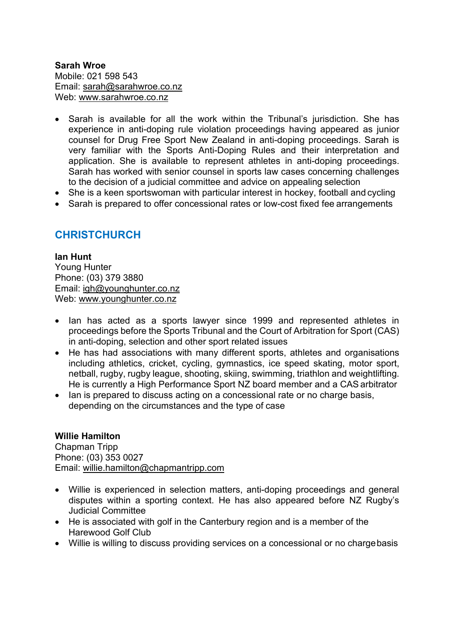**Sarah Wroe** Mobile: 021 598 543 Email: [sarah@sarahwroe.co.nz](mailto:sarah@sarahwroe.co.nz) Web: [www.sarahwroe.co.nz](http://www.sarahwroe.co.nz/)

- Sarah is available for all the work within the Tribunal's jurisdiction. She has experience in anti-doping rule violation proceedings having appeared as junior counsel for Drug Free Sport New Zealand in anti-doping proceedings. Sarah is very familiar with the Sports Anti-Doping Rules and their interpretation and application. She is available to represent athletes in anti-doping proceedings. Sarah has worked with senior counsel in sports law cases concerning challenges to the decision of a judicial committee and advice on appealing selection
- She is a keen sportswoman with particular interest in hockey, football and cycling
- Sarah is prepared to offer concessional rates or low-cost fixed fee arrangements

## **CHRISTCHURCH**

#### **Ian Hunt**

Young Hunter Phone: (03) 379 3880 Email: [igh@younghunter.co.nz](mailto:igh@younghunter.co.nz) Web: [www.younghunter.co.nz](http://www.younghunter.co.nz/)

- Ian has acted as a sports lawyer since 1999 and represented athletes in proceedings before the Sports Tribunal and the Court of Arbitration for Sport (CAS) in anti-doping, selection and other sport related issues
- He has had associations with many different sports, athletes and organisations including athletics, cricket, cycling, gymnastics, ice speed skating, motor sport, netball, rugby, rugby league, shooting, skiing, swimming, triathlon and weightlifting. He is currently a High Performance Sport NZ board member and a CASarbitrator
- Ian is prepared to discuss acting on a concessional rate or no charge basis, depending on the circumstances and the type of case

#### **Willie Hamilton**

Chapman Tripp Phone: (03) 353 0027 Email: [willie.hamilton@chapmantripp.com](mailto:willie.hamilton@chapmantripp.com)

- Willie is experienced in selection matters, anti-doping proceedings and general disputes within a sporting context. He has also appeared before NZ Rugby's Judicial Committee
- He is associated with golf in the Canterbury region and is a member of the Harewood Golf Club
- Willie is willing to discuss providing services on a concessional or no chargebasis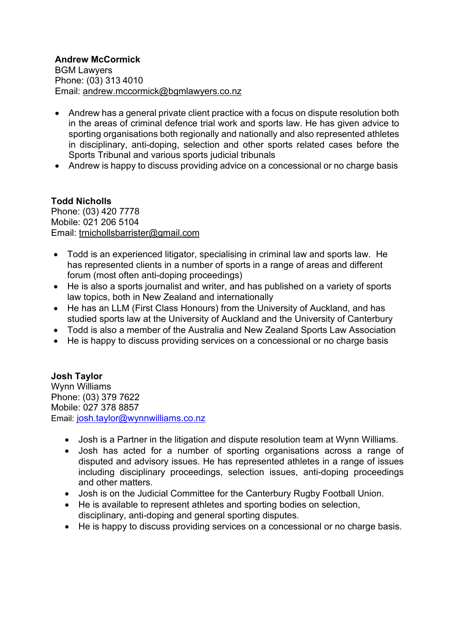- Andrew has a general private client practice with a focus on dispute resolution both in the areas of criminal defence trial work and sports law. He has given advice to sporting organisations both regionally and nationally and also represented athletes in disciplinary, anti-doping, selection and other sports related cases before the Sports Tribunal and various sports judicial tribunals
- Andrew is happy to discuss providing advice on a concessional or no charge basis

#### **Todd Nicholls**

Phone: (03) 420 7778 Mobile: 021 206 5104 Email: trnichollsbarrister@gmail.com

- Todd is an experienced litigator, specialising in criminal law and sports law. He has represented clients in a number of sports in a range of areas and different forum (most often anti-doping proceedings)
- He is also a sports journalist and writer, and has published on a variety of sports law topics, both in New Zealand and internationally
- He has an LLM (First Class Honours) from the University of Auckland, and has studied sports law at the University of Auckland and the University of Canterbury
- Todd is also a member of the Australia and New Zealand Sports Law Association
- He is happy to discuss providing services on a concessional or no charge basis

#### **Josh Taylor**

Wynn Williams Phone: (03) 379 7622 Mobile: 027 378 8857 Email: [josh.taylor@wynnwilliams.co.nz](mailto:josh.taylor@wynnwilliams.co.nz)

- Josh is a Partner in the litigation and dispute resolution team at Wynn Williams.
- Josh has acted for a number of sporting organisations across a range of disputed and advisory issues. He has represented athletes in a range of issues including disciplinary proceedings, selection issues, anti-doping proceedings and other matters.
- Josh is on the Judicial Committee for the Canterbury Rugby Football Union.
- He is available to represent athletes and sporting bodies on selection, disciplinary, anti-doping and general sporting disputes.
- He is happy to discuss providing services on a concessional or no charge basis.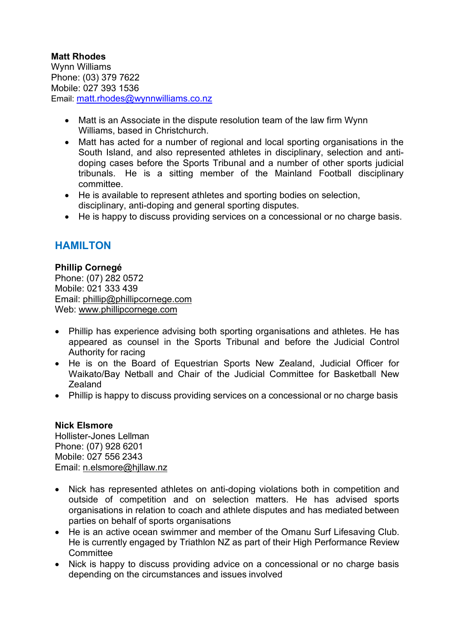#### **Matt Rhodes**

Wynn Williams Phone: (03) 379 7622 Mobile: 027 393 1536 Email: [matt.rhodes@wynnwilliams.co.nz](mailto:matt.rhodes@wynnwilliams.co.nz)

- Matt is an Associate in the dispute resolution team of the law firm Wynn Williams, based in Christchurch.
- Matt has acted for a number of regional and local sporting organisations in the South Island, and also represented athletes in disciplinary, selection and antidoping cases before the Sports Tribunal and a number of other sports judicial tribunals. He is a sitting member of the Mainland Football disciplinary committee.
- He is available to represent athletes and sporting bodies on selection, disciplinary, anti-doping and general sporting disputes.
- He is happy to discuss providing services on a concessional or no charge basis.

# **HAMILTON**

**Phillip Cornegé** Phone: (07) 282 0572 Mobile: 021 333 439 Email: [phillip@phillipcornege.com](mailto:phillip@phillipcornege.com) Web: [www.phillipcornege.com](http://www.phillipcornege.com/)

- Phillip has experience advising both sporting organisations and athletes. He has appeared as counsel in the Sports Tribunal and before the Judicial Control Authority for racing
- He is on the Board of Equestrian Sports New Zealand, Judicial Officer for Waikato/Bay Netball and Chair of the Judicial Committee for Basketball New **Zealand**
- Phillip is happy to discuss providing services on a concessional or no charge basis

#### **Nick Elsmore**

Hollister-Jones Lellman Phone: (07) 928 6201 Mobile: 027 556 2343 Email: [n.elsmore@hjllaw.nz](mailto:n.elsmore@hjllaw.nz)

- Nick has represented athletes on anti-doping violations both in competition and outside of competition and on selection matters. He has advised sports organisations in relation to coach and athlete disputes and has mediated between parties on behalf of sports organisations
- He is an active ocean swimmer and member of the Omanu Surf Lifesaving Club. He is currently engaged by Triathlon NZ as part of their High Performance Review **Committee**
- Nick is happy to discuss providing advice on a concessional or no charge basis depending on the circumstances and issues involved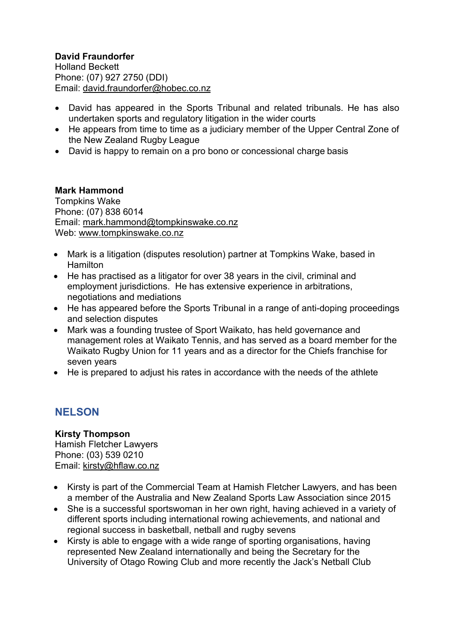#### **David Fraundorfer**

Holland Beckett Phone: (07) 927 2750 (DDI) Email: [david.fraundorfer@hobec.co.nz](mailto:david.fraundorfer@hobec.co.nz)

- David has appeared in the Sports Tribunal and related tribunals. He has also undertaken sports and regulatory litigation in the wider courts
- He appears from time to time as a judiciary member of the Upper Central Zone of the New Zealand Rugby League
- David is happy to remain on a pro bono or concessional charge basis

#### **Mark Hammond**

Tompkins Wake Phone: (07) 838 6014 Email: mark.hammond@tompkinswake.co.nz Web: www.tompkinswake.co.nz

- Mark is a litigation (disputes resolution) partner at Tompkins Wake, based in **Hamilton**
- He has practised as a litigator for over 38 years in the civil, criminal and employment jurisdictions. He has extensive experience in arbitrations, negotiations and mediations
- He has appeared before the Sports Tribunal in a range of anti-doping proceedings and selection disputes
- Mark was a founding trustee of Sport Waikato, has held governance and management roles at Waikato Tennis, and has served as a board member for the Waikato Rugby Union for 11 years and as a director for the Chiefs franchise for seven years
- He is prepared to adjust his rates in accordance with the needs of the athlete

## **NELSON**

**Kirsty Thompson** Hamish Fletcher Lawyers Phone: (03) 539 0210 Email: kirsty@hflaw.co.nz

- Kirsty is part of the Commercial Team at Hamish Fletcher Lawyers, and has been a member of the Australia and New Zealand Sports Law Association since 2015
- She is a successful sportswoman in her own right, having achieved in a variety of different sports including international rowing achievements, and national and regional success in basketball, netball and rugby sevens
- Kirsty is able to engage with a wide range of sporting organisations, having represented New Zealand internationally and being the Secretary for the University of Otago Rowing Club and more recently the Jack's Netball Club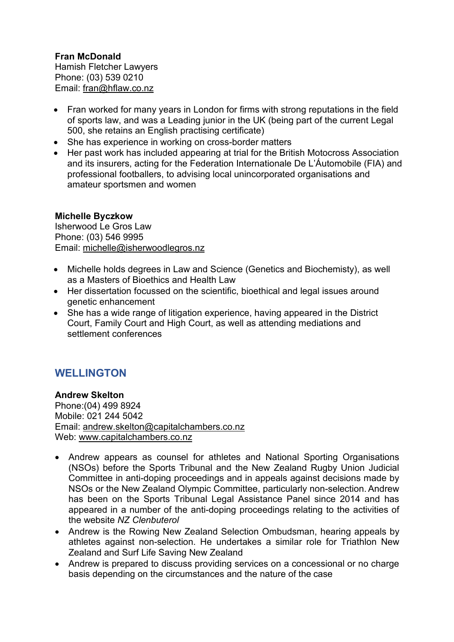**Fran McDonald** Hamish Fletcher Lawyers Phone: (03) 539 0210 Email: fran@hflaw.co.nz

- Fran worked for many years in London for firms with strong reputations in the field of sports law, and was a Leading junior in the UK (being part of the current Legal 500, she retains an English practising certificate)
- She has experience in working on cross-border matters
- Her past work has included appearing at trial for the British Motocross Association and its insurers, acting for the Federation Internationale De L'Áutomobile (FIA) and professional footballers, to advising local unincorporated organisations and amateur sportsmen and women

#### **Michelle Byczkow**

Isherwood Le Gros Law Phone: (03) 546 9995 Email: michelle@isherwoodlegros.nz

- Michelle holds degrees in Law and Science (Genetics and Biochemisty), as well as a Masters of Bioethics and Health Law
- Her dissertation focussed on the scientific, bioethical and legal issues around genetic enhancement
- She has a wide range of litigation experience, having appeared in the District Court, Family Court and High Court, as well as attending mediations and settlement conferences

# **WELLINGTON**

#### **Andrew Skelton**

Phone:(04) 499 8924 Mobile: 021 244 5042 Email: [andrew.skelton@capitalchambers.co.nz](mailto:andrew.skelton@capitalchambers.co.nz) Web: [www.capitalchambers.co.nz](http://www.capitalchambers.co.nz/)

- Andrew appears as counsel for athletes and National Sporting Organisations (NSOs) before the Sports Tribunal and the New Zealand Rugby Union Judicial Committee in anti-doping proceedings and in appeals against decisions made by NSOs or the New Zealand Olympic Committee, particularly non-selection. Andrew has been on the Sports Tribunal Legal Assistance Panel since 2014 and has appeared in a number of the anti-doping proceedings relating to the activities of the website *NZ Clenbuterol*
- Andrew is the Rowing New Zealand Selection Ombudsman, hearing appeals by athletes against non-selection. He undertakes a similar role for Triathlon New Zealand and Surf Life Saving New Zealand
- Andrew is prepared to discuss providing services on a concessional or no charge basis depending on the circumstances and the nature of the case